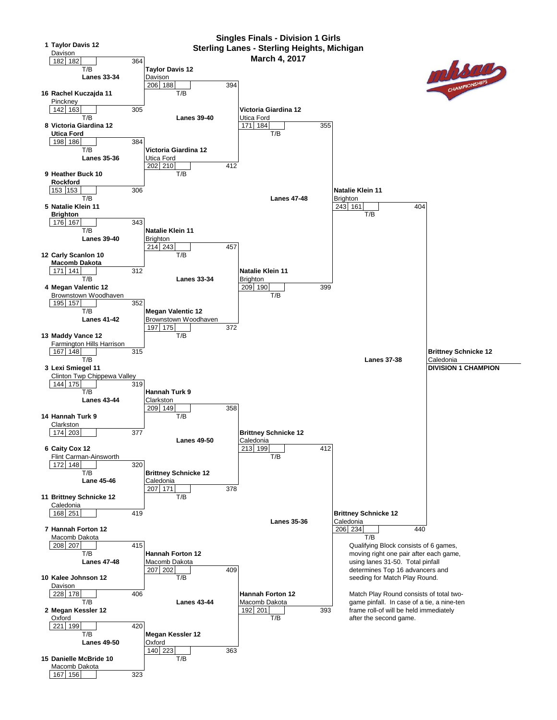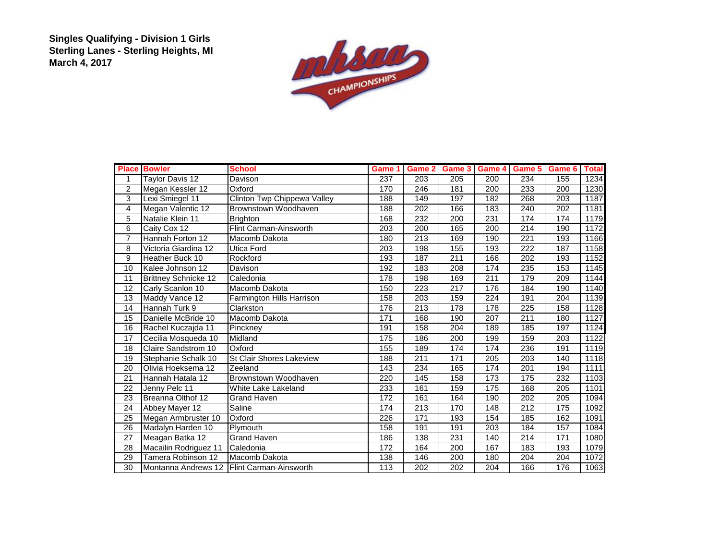**Singles Qualifying - Division 1 Girls Sterling Lanes - Sterling Heights, MI March 4, 2017**



| <b>Place</b>   | <b>Bowler</b>               | <b>School</b>                              | Game 1           | Game 2 | Game 3 | Game 4 | Game 5 Game 6    |     | <b>Total</b> |
|----------------|-----------------------------|--------------------------------------------|------------------|--------|--------|--------|------------------|-----|--------------|
| 1              | <b>Taylor Davis 12</b>      | Davison                                    | 237              | 203    | 205    | 200    | 234              | 155 | 1234         |
| $\overline{2}$ | Megan Kessler 12            | Oxford                                     | 170              | 246    | 181    | 200    | 233              | 200 | 1230         |
| 3              | Lexi Smiegel 11             | Clinton Twp Chippewa Valley                | 188              | 149    | 197    | 182    | 268              | 203 | 1187         |
| 4              | Megan Valentic 12           | Brownstown Woodhaven                       | 188              | 202    | 166    | 183    | 240              | 202 | 1181         |
| 5              | Natalie Klein 11            | <b>Brighton</b>                            | 168              | 232    | 200    | 231    | 174              | 174 | 1179         |
| 6              | Caity Cox 12                | Flint Carman-Ainsworth                     | 203              | 200    | 165    | 200    | $\overline{214}$ | 190 | 1172         |
| $\overline{7}$ | Hannah Forton 12            | Macomb Dakota                              | 180              | 213    | 169    | 190    | 221              | 193 | 1166         |
| 8              | Victoria Giardina 12        | <b>Utica Ford</b>                          | 203              | 198    | 155    | 193    | 222              | 187 | 1158         |
| 9              | Heather Buck 10             | Rockford                                   | 193              | 187    | 211    | 166    | 202              | 193 | 1152         |
| 10             | Kalee Johnson 12            | Davison                                    | 192              | 183    | 208    | 174    | 235              | 153 | 1145         |
| 11             | <b>Brittney Schnicke 12</b> | Caledonia                                  | 178              | 198    | 169    | 211    | 179              | 209 | 1144         |
| 12             | Carly Scanlon 10            | Macomb Dakota                              | 150              | 223    | 217    | 176    | 184              | 190 | 1140         |
| 13             | Maddy Vance 12              | Farmington Hills Harrison                  | 158              | 203    | 159    | 224    | 191              | 204 | 1139         |
| 14             | Hannah Turk 9               | Clarkston                                  | 176              | 213    | 178    | 178    | 225              | 158 | 1128         |
| 15             | Danielle McBride 10         | Macomb Dakota                              | 171              | 168    | 190    | 207    | 211              | 180 | 1127         |
| 16             | Rachel Kuczajda 11          | Pinckney                                   | 191              | 158    | 204    | 189    | 185              | 197 | 1124         |
| 17             | Cecilia Mosqueda 10         | Midland                                    | 175              | 186    | 200    | 199    | 159              | 203 | 1122         |
| 18             | Claire Sandstrom 10         | Oxford                                     | 155              | 189    | 174    | 174    | 236              | 191 | 1119         |
| 19             | Stephanie Schalk 10         | <b>St Clair Shores Lakeview</b>            | 188              | 211    | 171    | 205    | 203              | 140 | 1118         |
| 20             | Olivia Hoeksema 12          | Zeeland                                    | 143              | 234    | 165    | 174    | 201              | 194 | 1111         |
| 21             | Hannah Hatala 12            | Brownstown Woodhaven                       | 220              | 145    | 158    | 173    | 175              | 232 | 1103         |
| 22             | Jenny Pelc 11               | White Lake Lakeland                        | 233              | 161    | 159    | 175    | 168              | 205 | 1101         |
| 23             | Breanna Olthof 12           | <b>Grand Haven</b>                         | $\overline{172}$ | 161    | 164    | 190    | $\overline{202}$ | 205 | 1094         |
| 24             | Abbey Mayer 12              | Saline                                     | 174              | 213    | 170    | 148    | $\overline{212}$ | 175 | 1092         |
| 25             | Megan Armbruster 10         | Oxford                                     | 226              | 171    | 193    | 154    | 185              | 162 | 1091         |
| 26             | Madalyn Harden 10           | Plymouth                                   | 158              | 191    | 191    | 203    | 184              | 157 | 1084         |
| 27             | Meagan Batka 12             | <b>Grand Haven</b>                         | 186              | 138    | 231    | 140    | 214              | 171 | 1080         |
| 28             | Macailin Rodriguez 11       | Caledonia                                  | 172              | 164    | 200    | 167    | 183              | 193 | 1079         |
| 29             | Tamera Robinson 12          | Macomb Dakota                              | 138              | 146    | 200    | 180    | 204              | 204 | 1072         |
| 30             |                             | Montanna Andrews 12 Flint Carman-Ainsworth | 113              | 202    | 202    | 204    | 166              | 176 | 1063         |